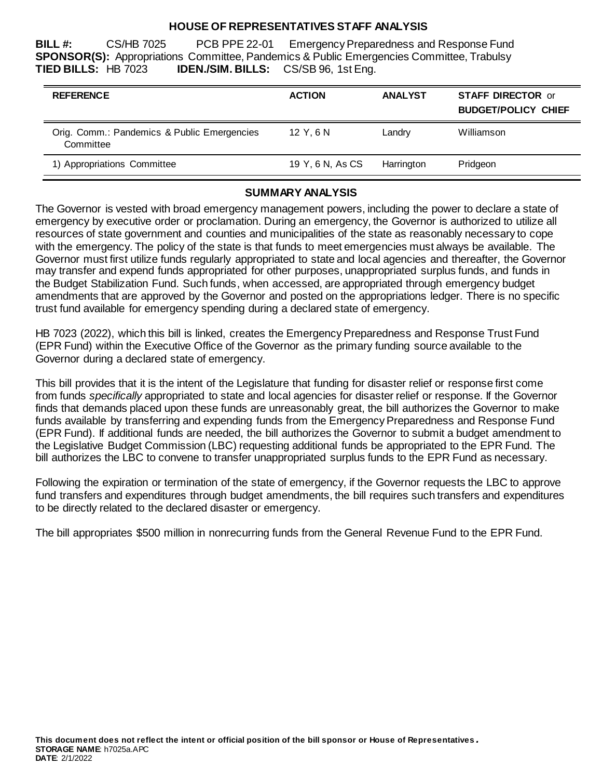#### **HOUSE OF REPRESENTATIVES STAFF ANALYSIS**

**BILL #:** CS/HB 7025 PCB PPE 22-01 Emergency Preparedness and Response Fund **SPONSOR(S):** Appropriations Committee, Pandemics & Public Emergencies Committee, Trabulsy **TIED BILLS:** HB 7023 **IDEN./SIM. BILLS:** CS/SB 96, 1st Eng.

| <b>REFERENCE</b>                                         | <b>ACTION</b>    | <b>ANALYST</b> | <b>STAFF DIRECTOR or</b><br><b>BUDGET/POLICY CHIEF</b> |
|----------------------------------------------------------|------------------|----------------|--------------------------------------------------------|
| Orig. Comm.: Pandemics & Public Emergencies<br>Committee | 12 Y.6 N         | Landry         | Williamson                                             |
| 1) Appropriations Committee                              | 19 Y, 6 N, As CS | Harrington     | Pridgeon                                               |

### **SUMMARY ANALYSIS**

The Governor is vested with broad emergency management powers, including the power to declare a state of emergency by executive order or proclamation. During an emergency, the Governor is authorized to utilize all resources of state government and counties and municipalities of the state as reasonably necessary to cope with the emergency. The policy of the state is that funds to meet emergencies must always be available. The Governor must first utilize funds regularly appropriated to state and local agencies and thereafter, the Governor may transfer and expend funds appropriated for other purposes, unappropriated surplus funds, and funds in the Budget Stabilization Fund. Such funds, when accessed, are appropriated through emergency budget amendments that are approved by the Governor and posted on the appropriations ledger. There is no specific trust fund available for emergency spending during a declared state of emergency.

HB 7023 (2022), which this bill is linked, creates the Emergency Preparedness and Response Trust Fund (EPR Fund) within the Executive Office of the Governor as the primary funding source available to the Governor during a declared state of emergency.

This bill provides that it is the intent of the Legislature that funding for disaster relief or response first come from funds *specifically* appropriated to state and local agencies for disaster relief or response. If the Governor finds that demands placed upon these funds are unreasonably great, the bill authorizes the Governor to make funds available by transferring and expending funds from the Emergency Preparedness and Response Fund (EPR Fund). If additional funds are needed, the bill authorizes the Governor to submit a budget amendment to the Legislative Budget Commission (LBC) requesting additional funds be appropriated to the EPR Fund. The bill authorizes the LBC to convene to transfer unappropriated surplus funds to the EPR Fund as necessary.

Following the expiration or termination of the state of emergency, if the Governor requests the LBC to approve fund transfers and expenditures through budget amendments, the bill requires such transfers and expenditures to be directly related to the declared disaster or emergency.

The bill appropriates \$500 million in nonrecurring funds from the General Revenue Fund to the EPR Fund.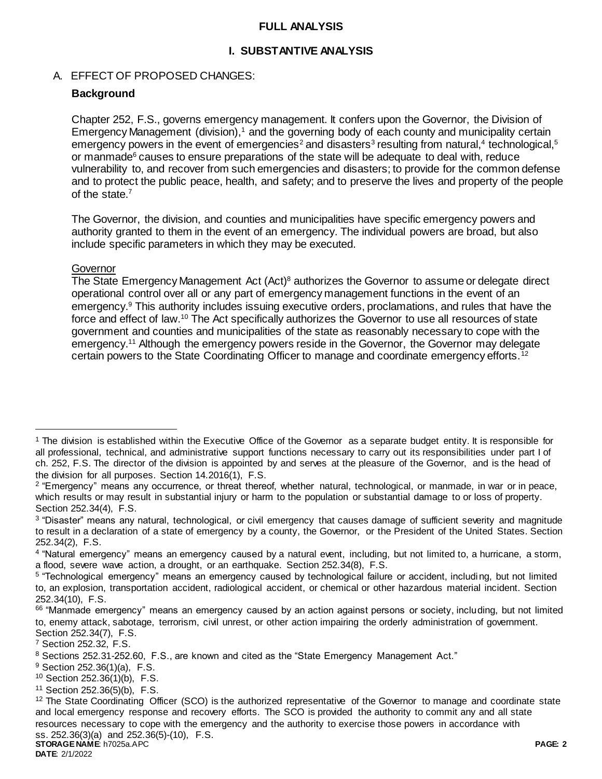#### **FULL ANALYSIS**

### **I. SUBSTANTIVE ANALYSIS**

### A. EFFECT OF PROPOSED CHANGES:

## **Background**

Chapter 252, F.S., governs emergency management. It confers upon the Governor, the Division of Emergency Management (division),<sup>1</sup> and the governing body of each county and municipality certain emergency powers in the event of emergencies<sup>2</sup> and disasters<sup>3</sup> resulting from natural,<sup>4</sup> technological,<sup>5</sup> or manmade $6$  causes to ensure preparations of the state will be adequate to deal with, reduce vulnerability to, and recover from such emergencies and disasters; to provide for the common defense and to protect the public peace, health, and safety; and to preserve the lives and property of the people of the state.<sup>7</sup>

The Governor, the division, and counties and municipalities have specific emergency powers and authority granted to them in the event of an emergency. The individual powers are broad, but also include specific parameters in which they may be executed.

#### **Governor**

 $\overline{a}$ 

The State Emergency Management Act (Act)<sup>8</sup> authorizes the Governor to assume or delegate direct operational control over all or any part of emergency management functions in the event of an emergency.<sup>9</sup> This authority includes issuing executive orders, proclamations, and rules that have the force and effect of law.<sup>10</sup> The Act specifically authorizes the Governor to use all resources of state government and counties and municipalities of the state as reasonably necessary to cope with the emergency.<sup>11</sup> Although the emergency powers reside in the Governor, the Governor may delegate certain powers to the State Coordinating Officer to manage and coordinate emergency efforts.<sup>12</sup>

<sup>11</sup> Section 252.36(5)(b), F.S.

**DATE**: 2/1/2022

<sup>1</sup> The division is established within the Executive Office of the Governor as a separate budget entity. It is responsible for all professional, technical, and administrative support functions necessary to carry out its responsibilities under part I of ch. 252, F.S. The director of the division is appointed by and serves at the pleasure of the Governor, and is the head of the division for all purposes. Section 14.2016(1), F.S.

<sup>2</sup> "Emergency" means any occurrence, or threat thereof, whether natural, technological, or manmade, in war or in peace, which results or may result in substantial injury or harm to the population or substantial damage to or loss of property. Section 252.34(4), F.S.

<sup>&</sup>lt;sup>3</sup> "Disaster" means any natural, technological, or civil emergency that causes damage of sufficient severity and magnitude to result in a declaration of a state of emergency by a county, the Governor, or the President of the United States. Section 252.34(2), F.S.

<sup>4</sup> "Natural emergency" means an emergency caused by a natural event, including, but not limited to, a hurricane, a storm, a flood, severe wave action, a drought, or an earthquake. Section 252.34(8), F.S.

<sup>5</sup> "Technological emergency" means an emergency caused by technological failure or accident, including, but not limited to, an explosion, transportation accident, radiological accident, or chemical or other hazardous material incident. Section 252.34(10), F.S.

<sup>&</sup>lt;sup>66</sup> "Manmade emergency" means an emergency caused by an action against persons or society, including, but not limited to, enemy attack, sabotage, terrorism, civil unrest, or other action impairing the orderly administration of government. Section 252.34(7), F.S.

<sup>7</sup> Section 252.32, F.S.

<sup>8</sup> Sections 252.31-252.60, F.S., are known and cited as the "State Emergency Management Act."

<sup>9</sup> Section 252.36(1)(a), F.S.

<sup>10</sup> Section 252.36(1)(b), F.S.

**STORAGE NAME**: h7025a.APC **PAGE: 2**  $12$  The State Coordinating Officer (SCO) is the authorized representative of the Governor to manage and coordinate state and local emergency response and recovery efforts. The SCO is provided the authority to commit any and all state resources necessary to cope with the emergency and the authority to exercise those powers in accordance with ss. 252.36(3)(a) and 252.36(5)-(10), F.S.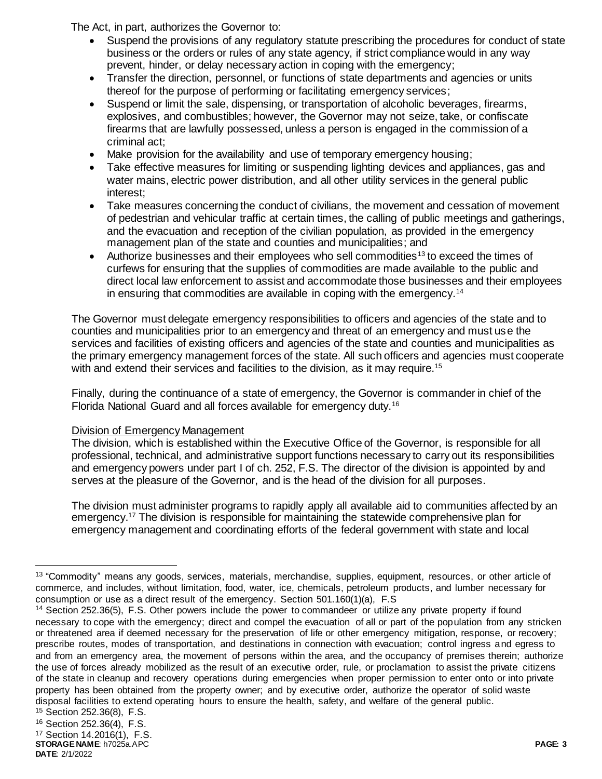The Act, in part, authorizes the Governor to:

- Suspend the provisions of any regulatory statute prescribing the procedures for conduct of state business or the orders or rules of any state agency, if strict compliance would in any way prevent, hinder, or delay necessary action in coping with the emergency;
- Transfer the direction, personnel, or functions of state departments and agencies or units thereof for the purpose of performing or facilitating emergency services;
- Suspend or limit the sale, dispensing, or transportation of alcoholic beverages, firearms, explosives, and combustibles; however, the Governor may not seize, take, or confiscate firearms that are lawfully possessed, unless a person is engaged in the commission of a criminal act;
- Make provision for the availability and use of temporary emergency housing;
- Take effective measures for limiting or suspending lighting devices and appliances, gas and water mains, electric power distribution, and all other utility services in the general public interest;
- Take measures concerning the conduct of civilians, the movement and cessation of movement of pedestrian and vehicular traffic at certain times, the calling of public meetings and gatherings, and the evacuation and reception of the civilian population, as provided in the emergency management plan of the state and counties and municipalities; and
- Authorize businesses and their employees who sell commodities<sup>13</sup> to exceed the times of curfews for ensuring that the supplies of commodities are made available to the public and direct local law enforcement to assist and accommodate those businesses and their employees in ensuring that commodities are available in coping with the emergency.<sup>14</sup>

The Governor must delegate emergency responsibilities to officers and agencies of the state and to counties and municipalities prior to an emergency and threat of an emergency and must use the services and facilities of existing officers and agencies of the state and counties and municipalities as the primary emergency management forces of the state. All such officers and agencies must cooperate with and extend their services and facilities to the division, as it may require.<sup>15</sup>

Finally, during the continuance of a state of emergency, the Governor is commander in chief of the Florida National Guard and all forces available for emergency duty.<sup>16</sup>

# Division of Emergency Management

The division, which is established within the Executive Office of the Governor, is responsible for all professional, technical, and administrative support functions necessary to carry out its responsibilities and emergency powers under part I of ch. 252, F.S. The director of the division is appointed by and serves at the pleasure of the Governor, and is the head of the division for all purposes.

The division must administer programs to rapidly apply all available aid to communities affected by an emergency.<sup>17</sup> The division is responsible for maintaining the statewide comprehensive plan for emergency management and coordinating efforts of the federal government with state and local

 $\overline{a}$ 

<sup>&</sup>lt;sup>13</sup> "Commodity" means any goods, services, materials, merchandise, supplies, equipment, resources, or other article of commerce, and includes, without limitation, food, water, ice, chemicals, petroleum products, and lumber necessary for consumption or use as a direct result of the emergency. Section 501.160(1)(a), F.S

<sup>14</sup> Section 252.36(5), F.S. Other powers include the power to commandeer or utilize any private property if found necessary to cope with the emergency; direct and compel the evacuation of all or part of the population from any stricken or threatened area if deemed necessary for the preservation of life or other emergency mitigation, response, or recovery; prescribe routes, modes of transportation, and destinations in connection with evacuation; control ingress and egress to and from an emergency area, the movement of persons within the area, and the occupancy of premises therein; authorize the use of forces already mobilized as the result of an executive order, rule, or proclamation to assist the private citizens of the state in cleanup and recovery operations during emergencies when proper permission to enter onto or into private property has been obtained from the property owner; and by executive order, authorize the operator of solid waste disposal facilities to extend operating hours to ensure the health, safety, and welfare of the general public.

<sup>15</sup> Section 252.36(8), F.S. <sup>16</sup> Section 252.36(4), F.S.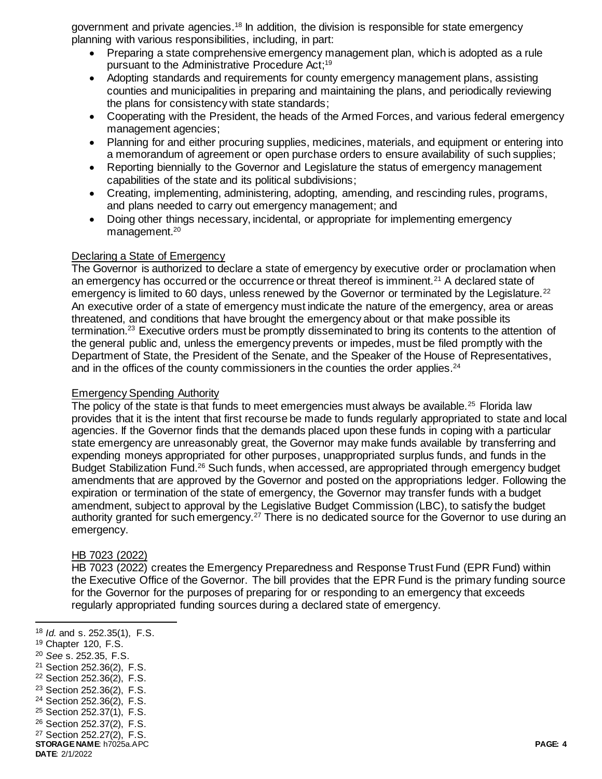government and private agencies.<sup>18</sup> In addition, the division is responsible for state emergency planning with various responsibilities, including, in part:

- Preparing a state comprehensive emergency management plan, which is adopted as a rule pursuant to the Administrative Procedure Act; 19
- Adopting standards and requirements for county emergency management plans, assisting counties and municipalities in preparing and maintaining the plans, and periodically reviewing the plans for consistency with state standards;
- Cooperating with the President, the heads of the Armed Forces, and various federal emergency management agencies;
- Planning for and either procuring supplies, medicines, materials, and equipment or entering into a memorandum of agreement or open purchase orders to ensure availability of such supplies;
- Reporting biennially to the Governor and Legislature the status of emergency management capabilities of the state and its political subdivisions;
- Creating, implementing, administering, adopting, amending, and rescinding rules, programs, and plans needed to carry out emergency management; and
- Doing other things necessary, incidental, or appropriate for implementing emergency management.<sup>20</sup>

### Declaring a State of Emergency

The Governor is authorized to declare a state of emergency by executive order or proclamation when an emergency has occurred or the occurrence or threat thereof is imminent.<sup>21</sup> A declared state of emergency is limited to 60 days, unless renewed by the Governor or terminated by the Legislature.<sup>22</sup> An executive order of a state of emergency must indicate the nature of the emergency, area or areas threatened, and conditions that have brought the emergency about or that make possible its termination.<sup>23</sup> Executive orders must be promptly disseminated to bring its contents to the attention of the general public and, unless the emergency prevents or impedes, must be filed promptly with the Department of State, the President of the Senate, and the Speaker of the House of Representatives, and in the offices of the county commissioners in the counties the order applies. $24$ 

#### Emergency Spending Authority

The policy of the state is that funds to meet emergencies must always be available.<sup>25</sup> Florida law provides that it is the intent that first recourse be made to funds regularly appropriated to state and local agencies. If the Governor finds that the demands placed upon these funds in coping with a particular state emergency are unreasonably great, the Governor may make funds available by transferring and expending moneys appropriated for other purposes, unappropriated surplus funds, and funds in the Budget Stabilization Fund.<sup>26</sup> Such funds, when accessed, are appropriated through emergency budget amendments that are approved by the Governor and posted on the appropriations ledger. Following the expiration or termination of the state of emergency, the Governor may transfer funds with a budget amendment, subject to approval by the Legislative Budget Commission (LBC), to satisfy the budget authority granted for such emergency.<sup>27</sup> There is no dedicated source for the Governor to use during an emergency.

### HB 7023 (2022)

HB 7023 (2022) creates the Emergency Preparedness and Response Trust Fund (EPR Fund) within the Executive Office of the Governor. The bill provides that the EPR Fund is the primary funding source for the Governor for the purposes of preparing for or responding to an emergency that exceeds regularly appropriated funding sources during a declared state of emergency.

<sup>19</sup> Chapter 120, F.S.

l

- <sup>20</sup> *See* s. 252.35, F.S.
- <sup>21</sup> Section 252.36(2), F.S.
- <sup>22</sup> Section 252.36(2), F.S.
- <sup>23</sup> Section 252.36(2), F.S.
- <sup>24</sup> Section 252.36(2), F.S.
- <sup>25</sup> Section 252.37(1), F.S.
- <sup>26</sup> Section 252.37(2), F.S.
- **STORAGE NAME**: h7025a.APC **PAGE: 4** <sup>27</sup> Section 252.27(2), F.S.

**DATE**: 2/1/2022

<sup>18</sup> *Id.* and s. 252.35(1), F.S.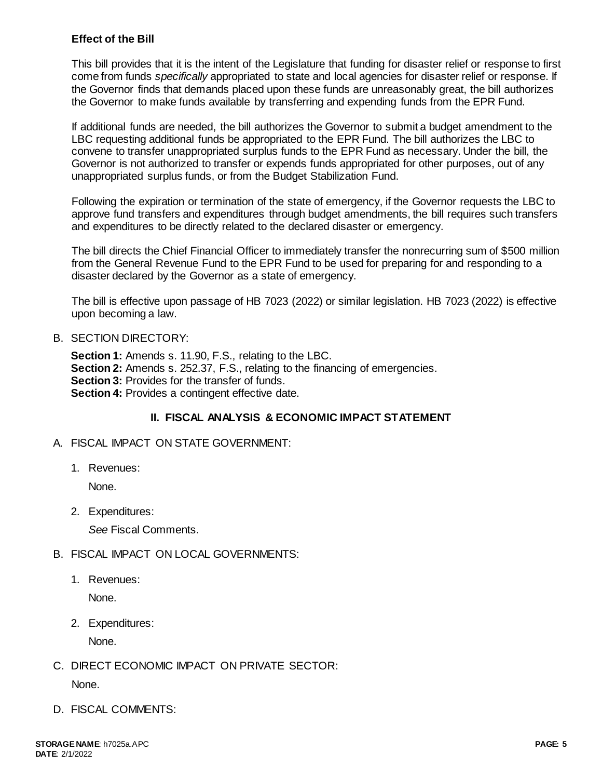### **Effect of the Bill**

This bill provides that it is the intent of the Legislature that funding for disaster relief or response to first come from funds *specifically* appropriated to state and local agencies for disaster relief or response. If the Governor finds that demands placed upon these funds are unreasonably great, the bill authorizes the Governor to make funds available by transferring and expending funds from the EPR Fund.

If additional funds are needed, the bill authorizes the Governor to submit a budget amendment to the LBC requesting additional funds be appropriated to the EPR Fund. The bill authorizes the LBC to convene to transfer unappropriated surplus funds to the EPR Fund as necessary. Under the bill, the Governor is not authorized to transfer or expends funds appropriated for other purposes, out of any unappropriated surplus funds, or from the Budget Stabilization Fund.

Following the expiration or termination of the state of emergency, if the Governor requests the LBC to approve fund transfers and expenditures through budget amendments, the bill requires such transfers and expenditures to be directly related to the declared disaster or emergency.

The bill directs the Chief Financial Officer to immediately transfer the nonrecurring sum of \$500 million from the General Revenue Fund to the EPR Fund to be used for preparing for and responding to a disaster declared by the Governor as a state of emergency.

The bill is effective upon passage of HB 7023 (2022) or similar legislation. HB 7023 (2022) is effective upon becoming a law.

### B. SECTION DIRECTORY:

**Section 1:** Amends s. 11.90, F.S., relating to the LBC. **Section 2:** Amends s. 252.37, F.S., relating to the financing of emergencies. **Section 3:** Provides for the transfer of funds. **Section 4:** Provides a contingent effective date.

### **II. FISCAL ANALYSIS & ECONOMIC IMPACT STATEMENT**

- A. FISCAL IMPACT ON STATE GOVERNMENT:
	- 1. Revenues:

None.

2. Expenditures:

*See* Fiscal Comments.

### B. FISCAL IMPACT ON LOCAL GOVERNMENTS:

1. Revenues:

None.

2. Expenditures:

None.

- C. DIRECT ECONOMIC IMPACT ON PRIVATE SECTOR: None.
- D. FISCAL COMMENTS: